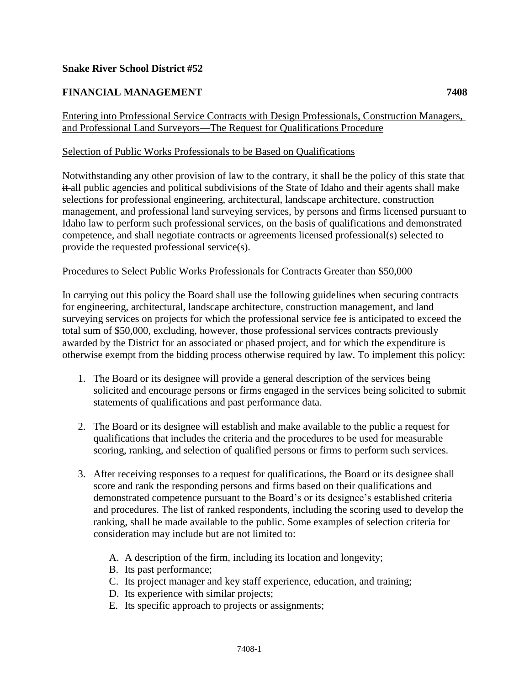# **Snake River School District #52**

# **FINANCIAL MANAGEMENT 7408**

### Entering into Professional Service Contracts with Design Professionals, Construction Managers, and Professional Land Surveyors—The Request for Qualifications Procedure

### Selection of Public Works Professionals to be Based on Qualifications

Notwithstanding any other provision of law to the contrary, it shall be the policy of this state that it all public agencies and political subdivisions of the State of Idaho and their agents shall make selections for professional engineering, architectural, landscape architecture, construction management, and professional land surveying services, by persons and firms licensed pursuant to Idaho law to perform such professional services, on the basis of qualifications and demonstrated competence, and shall negotiate contracts or agreements licensed professional(s) selected to provide the requested professional service(s).

#### Procedures to Select Public Works Professionals for Contracts Greater than \$50,000

In carrying out this policy the Board shall use the following guidelines when securing contracts for engineering, architectural, landscape architecture, construction management, and land surveying services on projects for which the professional service fee is anticipated to exceed the total sum of \$50,000, excluding, however, those professional services contracts previously awarded by the District for an associated or phased project, and for which the expenditure is otherwise exempt from the bidding process otherwise required by law. To implement this policy:

- 1. The Board or its designee will provide a general description of the services being solicited and encourage persons or firms engaged in the services being solicited to submit statements of qualifications and past performance data.
- 2. The Board or its designee will establish and make available to the public a request for qualifications that includes the criteria and the procedures to be used for measurable scoring, ranking, and selection of qualified persons or firms to perform such services.
- 3. After receiving responses to a request for qualifications, the Board or its designee shall score and rank the responding persons and firms based on their qualifications and demonstrated competence pursuant to the Board's or its designee's established criteria and procedures. The list of ranked respondents, including the scoring used to develop the ranking, shall be made available to the public. Some examples of selection criteria for consideration may include but are not limited to:
	- A. A description of the firm, including its location and longevity;
	- B. Its past performance;
	- C. Its project manager and key staff experience, education, and training;
	- D. Its experience with similar projects;
	- E. Its specific approach to projects or assignments;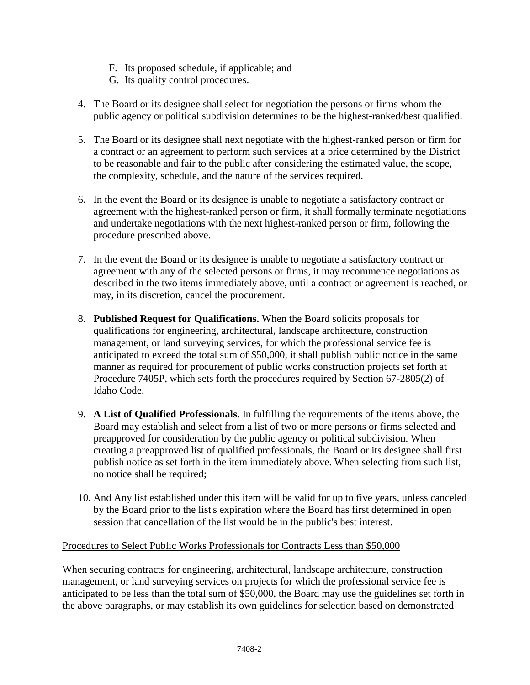- F. Its proposed schedule, if applicable; and
- G. Its quality control procedures.
- 4. The Board or its designee shall select for negotiation the persons or firms whom the public agency or political subdivision determines to be the highest-ranked/best qualified.
- 5. The Board or its designee shall next negotiate with the highest-ranked person or firm for a contract or an agreement to perform such services at a price determined by the District to be reasonable and fair to the public after considering the estimated value, the scope, the complexity, schedule, and the nature of the services required.
- 6. In the event the Board or its designee is unable to negotiate a satisfactory contract or agreement with the highest-ranked person or firm, it shall formally terminate negotiations and undertake negotiations with the next highest-ranked person or firm, following the procedure prescribed above.
- 7. In the event the Board or its designee is unable to negotiate a satisfactory contract or agreement with any of the selected persons or firms, it may recommence negotiations as described in the two items immediately above, until a contract or agreement is reached, or may, in its discretion, cancel the procurement.
- 8. **Published Request for Qualifications.** When the Board solicits proposals for qualifications for engineering, architectural, landscape architecture, construction management, or land surveying services, for which the professional service fee is anticipated to exceed the total sum of \$50,000, it shall publish public notice in the same manner as required for procurement of public works construction projects set forth at Procedure 7405P, which sets forth the procedures required by Section 67-2805(2) of Idaho Code.
- 9. **A List of Qualified Professionals.** In fulfilling the requirements of the items above, the Board may establish and select from a list of two or more persons or firms selected and preapproved for consideration by the public agency or political subdivision. When creating a preapproved list of qualified professionals, the Board or its designee shall first publish notice as set forth in the item immediately above. When selecting from such list, no notice shall be required;
- 10. And Any list established under this item will be valid for up to five years, unless canceled by the Board prior to the list's expiration where the Board has first determined in open session that cancellation of the list would be in the public's best interest.

# Procedures to Select Public Works Professionals for Contracts Less than \$50,000

When securing contracts for engineering, architectural, landscape architecture, construction management, or land surveying services on projects for which the professional service fee is anticipated to be less than the total sum of \$50,000, the Board may use the guidelines set forth in the above paragraphs, or may establish its own guidelines for selection based on demonstrated